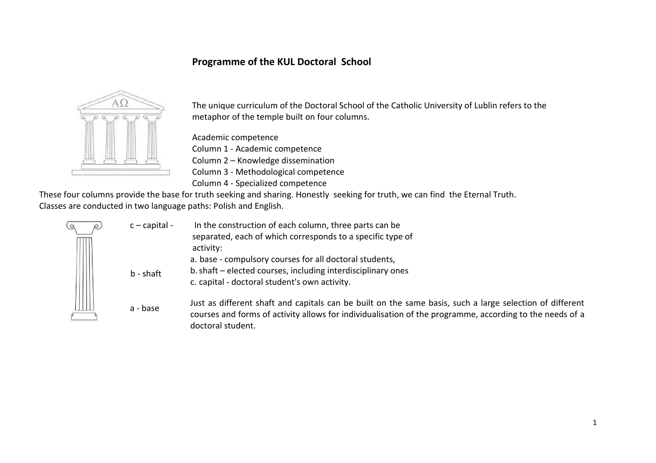## **Programme of the KUL Doctoral School**



The unique curriculum of the Doctoral School of the Catholic University of Lublin refers to the metaphor of the temple built on four columns.

Academic competence Column 1 - Academic competence Column 2 – Knowledge dissemination Column 3 - Methodological competence Column 4 - Specialized competence

These four columns provide the base for truth seeking and sharing. Honestly seeking for truth, we can find the Eternal Truth. Classes are conducted in two language paths: Polish and English.

| R. | $c$ – capital - | In the construction of each column, three parts can be<br>separated, each of which corresponds to a specific type of<br>activity:                                                                                                         |
|----|-----------------|-------------------------------------------------------------------------------------------------------------------------------------------------------------------------------------------------------------------------------------------|
|    | $b - shaft$     | a. base - compulsory courses for all doctoral students,<br>b. shaft – elected courses, including interdisciplinary ones<br>c. capital - doctoral student's own activity.                                                                  |
|    | a - base        | Just as different shaft and capitals can be built on the same basis, such a large selection of different<br>courses and forms of activity allows for individualisation of the programme, according to the needs of a<br>doctoral student. |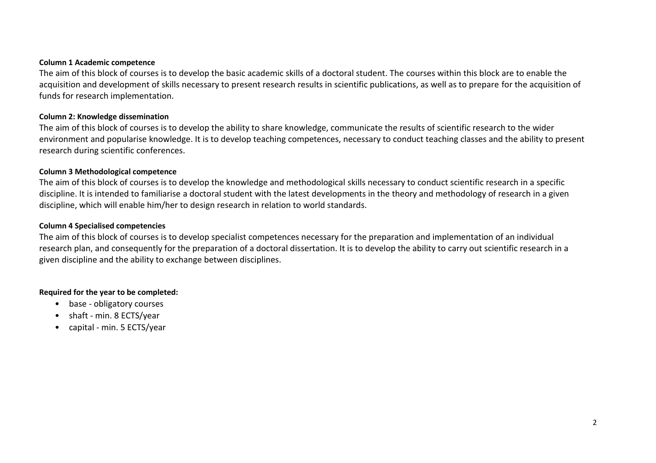#### **Column 1 Academic competence**

The aim of this block of courses is to develop the basic academic skills of a doctoral student. The courses within this block are to enable the acquisition and development of skills necessary to present research results in scientific publications, as well as to prepare for the acquisition of funds for research implementation.

#### **Column 2: Knowledge dissemination**

The aim of this block of courses is to develop the ability to share knowledge, communicate the results of scientific research to the wider environment and popularise knowledge. It is to develop teaching competences, necessary to conduct teaching classes and the ability to present research during scientific conferences.

#### **Column 3 Methodological competence**

The aim of this block of courses is to develop the knowledge and methodological skills necessary to conduct scientific research in a specific discipline. It is intended to familiarise a doctoral student with the latest developments in the theory and methodology of research in a given discipline, which will enable him/her to design research in relation to world standards.

#### **Column 4 Specialised competencies**

The aim of this block of courses is to develop specialist competences necessary for the preparation and implementation of an individual research plan, and consequently for the preparation of a doctoral dissertation. It is to develop the ability to carry out scientific research in a given discipline and the ability to exchange between disciplines.

#### **Required for the year to be completed:**

- base obligatory courses
- shaft min. 8 ECTS/year
- capital min. 5 ECTS/year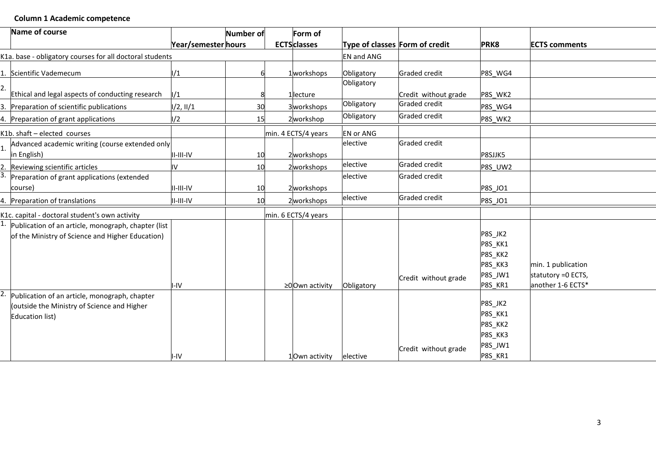## **Column 1 Academic competence**

| Name of course                                                                                                  |                     | Number of | Form of                 |                                |                      |                                                                |                                                                |
|-----------------------------------------------------------------------------------------------------------------|---------------------|-----------|-------------------------|--------------------------------|----------------------|----------------------------------------------------------------|----------------------------------------------------------------|
|                                                                                                                 | Year/semester hours |           | <b>ECTS</b> classes     | Type of classes Form of credit |                      | PRK8                                                           | <b>ECTS comments</b>                                           |
| K1a. base - obligatory courses for all doctoral students                                                        |                     |           |                         | <b>EN and ANG</b>              |                      |                                                                |                                                                |
| 1. Scientific Vademecum                                                                                         | 1/1                 |           | 1workshops              | Obligatory                     | <b>Graded credit</b> | P8S WG4                                                        |                                                                |
| Ethical and legal aspects of conducting research                                                                | 1/1                 |           |                         | Obligatory                     | Credit without grade | P8S WK2                                                        |                                                                |
| 3. Preparation of scientific publications                                                                       | 1/2, 11/1           | 30        | 1lecture<br>3 workshops | Obligatory                     | Graded credit        | P8S_WG4                                                        |                                                                |
| 4. Preparation of grant applications                                                                            | 1/2                 | 15        | 2workshop               | Obligatory                     | Graded credit        | P8S WK2                                                        |                                                                |
| K1b. shaft - elected courses                                                                                    |                     |           | min. 4 ECTS/4 years     | <b>EN or ANG</b>               |                      |                                                                |                                                                |
| Advanced academic writing (course extended only<br>in English)                                                  | $II$ -III-IV        | 10        | 2workshops              | elective                       | <b>Graded credit</b> | P8SJJK5                                                        |                                                                |
| 2. Reviewing scientific articles                                                                                | I۷                  | 10        | 2workshops              | elective                       | Graded credit        | P8S UW2                                                        |                                                                |
| 3. Preparation of grant applications (extended<br>course)                                                       | $II$ - $III$ -IV    | 10        | 2workshops              | elective                       | Graded credit        | <b>P8S JO1</b>                                                 |                                                                |
| 4. Preparation of translations                                                                                  | II-III-IV           | <b>10</b> | 2 workshops             | elective                       | Graded credit        | <b>P8S JO1</b>                                                 |                                                                |
| K1c. capital - doctoral student's own activity                                                                  |                     |           | min. 6 ECTS/4 years     |                                |                      |                                                                |                                                                |
| $1.$ Publication of an article, monograph, chapter (list<br>of the Ministry of Science and Higher Education)    | I-IV                |           | ≥0Own activity          | Obligatory                     | Credit without grade | P8S_JK2<br>P8S_KK1<br>P8S_KK2<br>P8S KK3<br>P8S_JW1<br>P8S_KR1 | min. 1 publication<br>statutory = 0 ECTS,<br>another 1-6 ECTS* |
| Publication of an article, monograph, chapter<br>(outside the Ministry of Science and Higher<br>Education list) | I-IV                |           | 1Own activity           | elective                       | Credit without grade | P8S_JK2<br>P8S_KK1<br>P8S_KK2<br>P8S_KK3<br>P8S_JW1<br>P8S_KR1 |                                                                |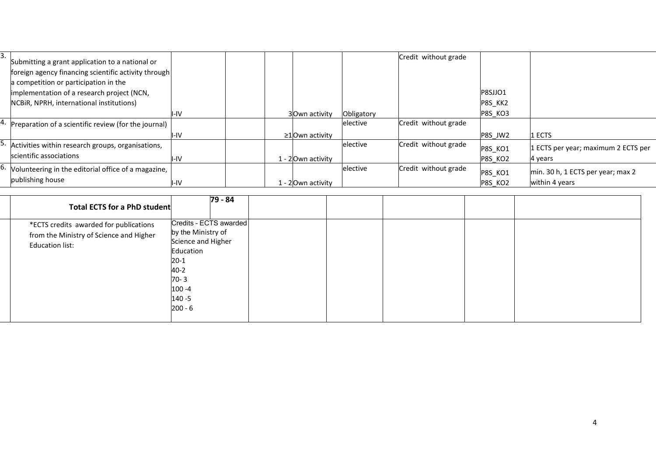|                                                                   | -- -- |                      |            |                      |                |                                     |
|-------------------------------------------------------------------|-------|----------------------|------------|----------------------|----------------|-------------------------------------|
|                                                                   |       |                      |            |                      |                |                                     |
| publishing house                                                  | I-IV  | 1 - 2Own activity    |            |                      | P8S KO2        | within 4 years                      |
| <sup>b.</sup> Volunteering in the editorial office of a magazine, |       |                      | elective   | Credit without grade | P8S_KO1        | min. 30 h, 1 ECTS per year; max 2   |
| scientific associations                                           | I-IV  | 1 - 2Own activity    |            |                      | P8S KO2        | 4 years                             |
| Activities within research groups, organisations,                 |       |                      | elective   | Credit without grade | P8S_KO1        | 1 ECTS per year; maximum 2 ECTS per |
|                                                                   | II-IV | $\geq$ 10wn activity |            |                      | P8S JW2        | 1 ECTS                              |
| 4. Preparation of a scientific review (for the journal)           |       |                      | elective   | Credit without grade |                |                                     |
|                                                                   | II-IV | 3Own activity        | Obligatory |                      | <b>P8S KO3</b> |                                     |
| NCBIR, NPRH, international institutions)                          |       |                      |            |                      | P8S_KK2        |                                     |
| implementation of a research project (NCN,                        |       |                      |            |                      | P8SJJO1        |                                     |
| a competition or participation in the                             |       |                      |            |                      |                |                                     |
| foreign agency financing scientific activity through              |       |                      |            |                      |                |                                     |
| Submitting a grant application to a national or                   |       |                      |            | Credit without grade |                |                                     |
|                                                                   |       |                      |            |                      |                |                                     |

| 79 - 84<br>Total ECTS for a PhD student<br>Credits - ECTS awarded<br>*ECTS credits awarded for publications<br>by the Ministry of<br>from the Ministry of Science and Higher<br>Science and Higher<br><b>Education list:</b><br>Education<br>$20-1$<br>$40 - 2$<br>$70 - 3$<br>$100 - 4$<br>$140 - 5$ |
|-------------------------------------------------------------------------------------------------------------------------------------------------------------------------------------------------------------------------------------------------------------------------------------------------------|
|                                                                                                                                                                                                                                                                                                       |
|                                                                                                                                                                                                                                                                                                       |
|                                                                                                                                                                                                                                                                                                       |
|                                                                                                                                                                                                                                                                                                       |
|                                                                                                                                                                                                                                                                                                       |
|                                                                                                                                                                                                                                                                                                       |
|                                                                                                                                                                                                                                                                                                       |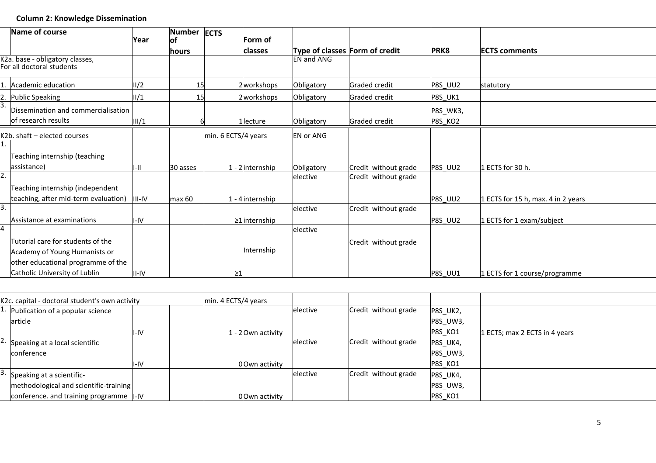## **Column 2: Knowledge Dissemination**

|    | Name of course                                                                                           | Year   | <b>Number</b><br>lof | <b>ECTS</b>         | lForm of           |                                |                      |                     |                                    |
|----|----------------------------------------------------------------------------------------------------------|--------|----------------------|---------------------|--------------------|--------------------------------|----------------------|---------------------|------------------------------------|
|    |                                                                                                          |        | lhours               |                     | classes            | Type of classes Form of credit |                      | PRK8                | <b>ECTS comments</b>               |
|    | K2a. base - obligatory classes,<br>For all doctoral students                                             |        |                      |                     |                    | <b>EN and ANG</b>              |                      |                     |                                    |
|    | 1. Academic education                                                                                    | 1/2    | <b>15</b>            |                     | 2 workshops        | Obligatory                     | <b>Graded credit</b> | <b>P8S_UU2</b>      | statutory                          |
|    | 2. Public Speaking                                                                                       | II/1   | <b>15</b>            |                     | 2 workshops        | Obligatory                     | Graded credit        | <b>P8S_UK1</b>      |                                    |
|    | Dissemination and commercialisation<br>of research results                                               | III/1  |                      |                     | 1llecture          | Obligatory                     | <b>Graded credit</b> | P8S_WK3,<br>P8S_KO2 |                                    |
|    | K2b. shaft - elected courses                                                                             |        |                      | min. 6 ECTS/4 years |                    | <b>EN or ANG</b>               |                      |                     |                                    |
|    | Teaching internship (teaching<br>assistance)                                                             |        | 30 asses             |                     | $1 - 2$ internship | Obligatory                     | Credit without grade | <b>P8S UU2</b>      | 1 ECTS for 30 h.                   |
|    | Teaching internship (independent<br>teaching, after mid-term evaluation)                                 | III-IV | max 60               |                     | 1 - 4 internship   | elective                       | Credit without grade | <b>P8S UU2</b>      | 1 ECTS for 15 h, max. 4 in 2 years |
| 3. | Assistance at examinations                                                                               | I-IV   |                      |                     | ≥1 internship      | elective                       | Credit without grade | P8S UU2             | 1 ECTS for 1 exam/subject          |
|    | Tutorial care for students of the<br>Academy of Young Humanists or<br>other educational programme of the |        |                      |                     | Internship         | elective                       | Credit without grade |                     |                                    |
|    | Catholic University of Lublin                                                                            | II-IV  |                      | ≥1                  |                    |                                |                      | P8S UU1             | 1 ECTS for 1 course/programme      |

| K2c. capital - doctoral student's own activity |     | min. 4 ECTS/4 years |                    |          |                      |                 |                               |
|------------------------------------------------|-----|---------------------|--------------------|----------|----------------------|-----------------|-------------------------------|
| <sup>1.</sup> Publication of a popular science |     |                     |                    | elective | Credit without grade | P8S_UK2,        |                               |
| article                                        |     |                     |                    |          |                      | P8S_UW3,        |                               |
|                                                | -IV |                     | 1 - 2lOwn activity |          |                      | <b>P8S_KO1</b>  | 1 ECTS; max 2 ECTS in 4 years |
| <sup>2.</sup> Speaking at a local scientific   |     |                     |                    | elective | Credit without grade | <b>P8S_UK4,</b> |                               |
| conference                                     |     |                     |                    |          |                      | P8S_UW3,        |                               |
|                                                | -IV |                     | 00wn activity      |          |                      | P8S KO1         |                               |
| Speaking at a scientific-                      |     |                     |                    | elective | Credit without grade | <b>P8S_UK4,</b> |                               |
| methodological and scientific-training         |     |                     |                    |          |                      | P8S_UW3,        |                               |
| conference. and training programme $\ $ -IV    |     |                     | 00wn activity      |          |                      | <b>P8S_KO1</b>  |                               |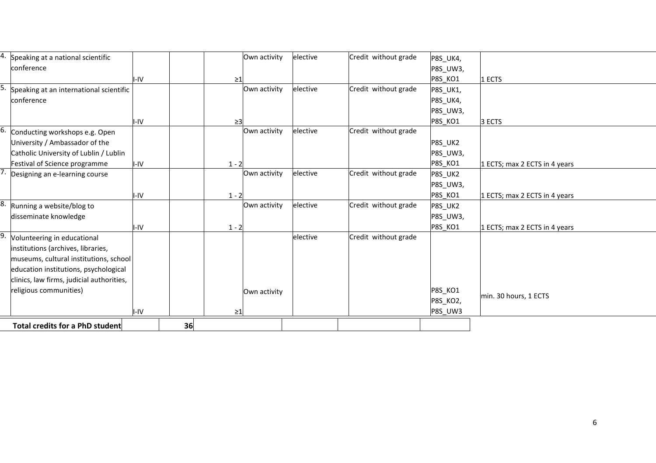| Speaking at a national scientific         |      |    |          | Own activity | elective | Credit without grade | P8S_UK4,        |                               |
|-------------------------------------------|------|----|----------|--------------|----------|----------------------|-----------------|-------------------------------|
| conference                                |      |    |          |              |          |                      | P8S_UW3,        |                               |
|                                           | I-IV |    | $\geq$ 1 |              |          |                      | <b>P8S KO1</b>  | 1 ECTS                        |
| Speaking at an international scientific   |      |    |          | Own activity | elective | Credit without grade | P8S_UK1,        |                               |
| conference                                |      |    |          |              |          |                      | P8S_UK4,        |                               |
|                                           |      |    |          |              |          |                      | P8S_UW3,        |                               |
|                                           | I-IV |    | $\geq$ 3 |              |          |                      | P8S_KO1         | 3 ECTS                        |
| Conducting workshops e.g. Open            |      |    |          | Own activity | elective | Credit without grade |                 |                               |
| University / Ambassador of the            |      |    |          |              |          |                      | P8S_UK2         |                               |
| Catholic University of Lublin / Lublin    |      |    |          |              |          |                      | <b>P8S UW3,</b> |                               |
| Festival of Science programme             | I-IV |    | $1 - 2$  |              |          |                      | <b>P8S_KO1</b>  | 1 ECTS; max 2 ECTS in 4 years |
| Designing an e-learning course            |      |    |          | Own activity | elective | Credit without grade | P8S_UK2         |                               |
|                                           |      |    |          |              |          |                      | P8S_UW3,        |                               |
|                                           | I-IV |    | $1 - 2$  |              |          |                      | P8S_KO1         | 1 ECTS; max 2 ECTS in 4 years |
| Running a website/blog to                 |      |    |          | Own activity | elective | Credit without grade | P8S_UK2         |                               |
| disseminate knowledge                     |      |    |          |              |          |                      | P8S_UW3,        |                               |
|                                           | I-IV |    | $1 - 2$  |              |          |                      | P8S_KO1         | 1 ECTS; max 2 ECTS in 4 years |
| Volunteering in educational               |      |    |          |              | elective | Credit without grade |                 |                               |
| institutions (archives, libraries,        |      |    |          |              |          |                      |                 |                               |
| museums, cultural institutions, school    |      |    |          |              |          |                      |                 |                               |
| education institutions, psychological     |      |    |          |              |          |                      |                 |                               |
| clinics, law firms, judicial authorities, |      |    |          |              |          |                      |                 |                               |
| religious communities)                    |      |    |          | Own activity |          |                      | P8S_KO1         |                               |
|                                           |      |    |          |              |          |                      | P8S_KO2,        | min. 30 hours, 1 ECTS         |
|                                           | I-IV |    | $\geq$ 1 |              |          |                      | P8S UW3         |                               |
| Total credits for a PhD student           |      | 36 |          |              |          |                      |                 |                               |
|                                           |      |    |          |              |          |                      |                 |                               |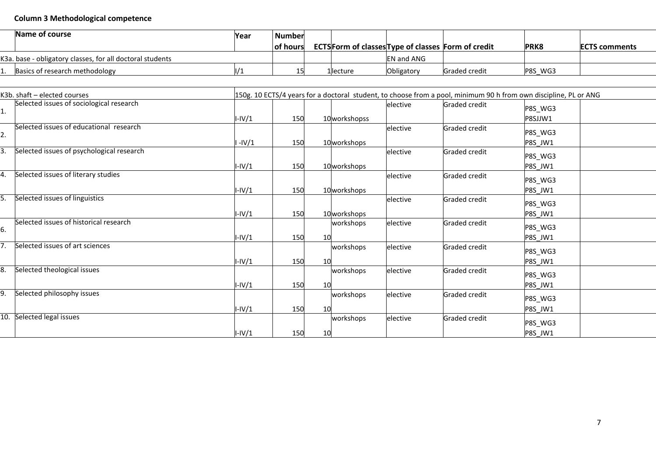# **Column 3 Methodological competence**

| Name of course                                            | Year | <b>Number</b>    |           |                                                           |                      |         |                       |
|-----------------------------------------------------------|------|------------------|-----------|-----------------------------------------------------------|----------------------|---------|-----------------------|
|                                                           |      | <b>Tof hours</b> |           | <b>ECTSForm of classes Type of classes Form of credit</b> |                      | PRK8    | <b>IECTS comments</b> |
| K3a. base - obligatory classes, for all doctoral students |      |                  |           | <b>EN and ANG</b>                                         |                      |         |                       |
| Basics of research methodology                            |      |                  | 1 lecture | Obligatory                                                | <b>Graded credit</b> | P8S WG3 |                       |

| K3b. shaft - elected courses                 |          |     |                          |                  |               | 150g. 10 ECTS/4 years for a doctoral student, to choose from a pool, minimum 90 h from own discipline, PL or ANG |  |
|----------------------------------------------|----------|-----|--------------------------|------------------|---------------|------------------------------------------------------------------------------------------------------------------|--|
| Selected issues of sociological research     | $I-IV/1$ | 150 | 10 workshopss            | <b>lelective</b> | Graded credit | P8S_WG3<br>P8SJJW1                                                                                               |  |
| Selected issues of educational research      |          |     |                          | elective         | Graded credit | P8S_WG3                                                                                                          |  |
| Selected issues of psychological research    | $-IV/1$  | 150 | 10 workshops             | elective         | Graded credit | P8S_JW1<br>P8S_WG3                                                                                               |  |
| Selected issues of literary studies          | $I-IV/1$ | 150 | 10workshops              | elective         | Graded credit | P8S JW1<br>P8S_WG3                                                                                               |  |
| Selected issues of linguistics               | $I-IV/1$ | 150 | 10 workshops             | elective         | Graded credit | P8S_JW1<br>P8S_WG3                                                                                               |  |
| Selected issues of historical research<br>6. | $I-IV/1$ | 150 | 10workshops<br>workshops | elective         | Graded credit | P8S JW1<br>P8S WG3                                                                                               |  |
| Selected issues of art sciences<br>7.        | $I-IV/1$ | 150 | workshops                | elective         | Graded credit | P8S_JW1<br>P8S_WG3                                                                                               |  |
| Selected theological issues<br>8.            | $I-IV/1$ | 150 | 10<br>workshops          | elective         | Graded credit | P8S JW1<br>P8S_WG3                                                                                               |  |
| 9.<br>Selected philosophy issues             | $I-IV/1$ | 150 | workshops                | elective         | Graded credit | P8S_JW1<br>P8S_WG3                                                                                               |  |
| 10.<br>Selected legal issues                 | I-IV/1   | 150 | 10<br>workshops          | elective         | Graded credit | P8S JW1<br>P8S_WG3                                                                                               |  |
|                                              | $I-IV/1$ | 150 | 10                       |                  |               | P8S JW1                                                                                                          |  |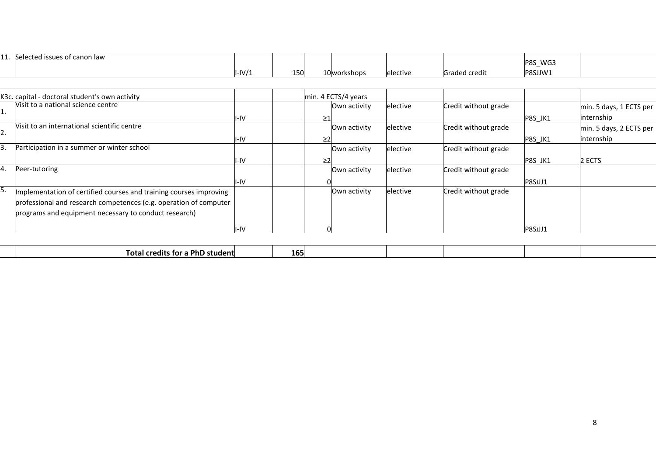| . .<br>,,,, | cted issues of canon law<br>عمامحا |       |     |              |          |                     |                                |
|-------------|------------------------------------|-------|-----|--------------|----------|---------------------|--------------------------------|
|             |                                    |       |     |              |          |                     | WG:<br>P <sub>8</sub> S<br>$-$ |
|             |                                    | -IV/1 | 150 | 10 workshops | elective | <b>Graded credi</b> | P8SJJW1                        |

|    | K3c. capital - doctoral student's own activity                     |      |  | min. 4 ECTS/4 years |          |                      |                |                         |
|----|--------------------------------------------------------------------|------|--|---------------------|----------|----------------------|----------------|-------------------------|
| ı. | Visit to a national science centre                                 |      |  | Own activity        | elective | Credit without grade |                | min. 5 days, 1 ECTS per |
|    |                                                                    | I-IV |  |                     |          |                      | <b>P8S JK1</b> | linternship             |
| Ζ. | Visit to an international scientific centre                        |      |  | Own activity        | elective | Credit without grade |                | min. 5 days, 2 ECTS per |
|    |                                                                    | I-IV |  |                     |          |                      | <b>P8S JK1</b> | internship              |
|    | Participation in a summer or winter school                         |      |  | Own activity        | elective | Credit without grade |                |                         |
|    |                                                                    | I-IV |  |                     |          |                      | P8S JK1        | 2 ECTS                  |
|    | Peer-tutoring                                                      |      |  | Own activity        | elective | Credit without grade |                |                         |
|    |                                                                    | I-IV |  |                     |          |                      | P8SJJJ1        |                         |
|    | Implementation of certified courses and training courses improving |      |  | Own activity        | elective | Credit without grade |                |                         |
|    | professional and research competences (e.g. operation of computer  |      |  |                     |          |                      |                |                         |
|    | programs and equipment necessary to conduct research)              |      |  |                     |          |                      |                |                         |
|    |                                                                    | I-IV |  |                     |          |                      | P8SJJJ1        |                         |

|  |  | .<br>PNL.<br>--<br>ient.<br>eairs<br>ror<br>ш | 165 |  |  |  |  |  |
|--|--|-----------------------------------------------|-----|--|--|--|--|--|
|--|--|-----------------------------------------------|-----|--|--|--|--|--|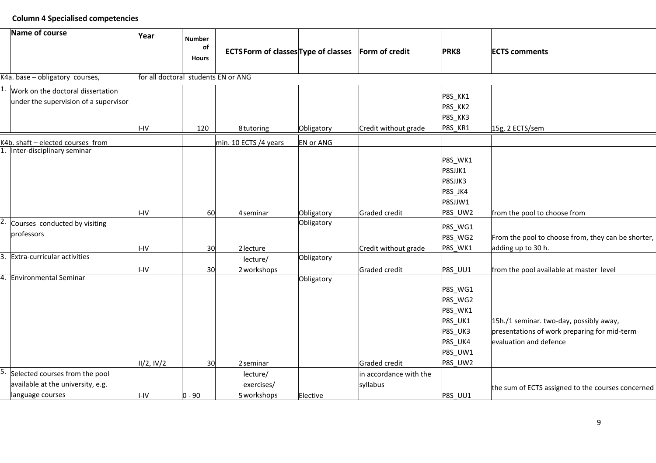## **Column 4 Specialised competencies**

|    | Name of course                                                             | Year                                | <b>Number</b><br>of<br><b>Hours</b> |                           | <b>ECTSForm of classes Type of classes</b> | Form of credit         | <b>PRK8</b>                                                                          | <b>ECTS comments</b>                                                                                              |
|----|----------------------------------------------------------------------------|-------------------------------------|-------------------------------------|---------------------------|--------------------------------------------|------------------------|--------------------------------------------------------------------------------------|-------------------------------------------------------------------------------------------------------------------|
|    | K4a. base - obligatory courses,                                            | for all doctoral students EN or ANG |                                     |                           |                                            |                        |                                                                                      |                                                                                                                   |
|    | Work on the doctoral dissertation<br>under the supervision of a supervisor | I-IV                                | 120                                 | 8tutoring                 | Obligatory                                 | Credit without grade   | P8S_KK1<br>P8S_KK2<br>P8S_KK3<br>P8S_KR1                                             | 15g, 2 ECTS/sem                                                                                                   |
|    | K4b. shaft - elected courses from                                          |                                     |                                     | min. 10 ECTS /4 years     | <b>EN or ANG</b>                           |                        |                                                                                      |                                                                                                                   |
|    | Inter-disciplinary seminar                                                 | I-IV                                | 60                                  | 4 <sub>seminar</sub>      | Obligatory                                 | <b>Graded credit</b>   | P8S_WK1<br>P8SJJK1<br>P8SJJK3<br>P8S_JK4<br>P8SJJW1<br><b>P8S_UW2</b>                | from the pool to choose from                                                                                      |
|    | Courses conducted by visiting                                              |                                     |                                     |                           | Obligatory                                 |                        |                                                                                      |                                                                                                                   |
|    | professors                                                                 | I-IV                                | 30                                  | 2lecture                  |                                            | Credit without grade   | P8S_WG1<br>P8S_WG2<br>P8S WK1                                                        | From the pool to choose from, they can be shorter,<br>adding up to 30 h.                                          |
| 3. | Extra-curricular activities                                                |                                     |                                     | lecture/                  | Obligatory                                 |                        |                                                                                      |                                                                                                                   |
|    |                                                                            | I-IV                                | 30                                  | 2 workshops               |                                            | <b>Graded credit</b>   | <b>P8S UU1</b>                                                                       | from the pool available at master level                                                                           |
| 4. | <b>Environmental Seminar</b>                                               | II/2, IV/2                          | 30                                  | 2seminar                  | Obligatory                                 | <b>Graded credit</b>   | P8S_WG1<br>P8S_WG2<br>P8S_WK1<br>P8S_UK1<br>P8S_UK3<br>P8S_UK4<br>P8S_UW1<br>P8S UW2 | 15h./1 seminar. two-day, possibly away,<br>presentations of work preparing for mid-term<br>evaluation and defence |
|    | Selected courses from the pool                                             |                                     |                                     | lecture/                  |                                            | in accordance with the |                                                                                      |                                                                                                                   |
|    | available at the university, e.g.<br>language courses                      | $I-IV$                              | 0 - 90                              | exercises/<br>5 workshops | Elective                                   | syllabus               | <b>P8S UU1</b>                                                                       | the sum of ECTS assigned to the courses concerned                                                                 |